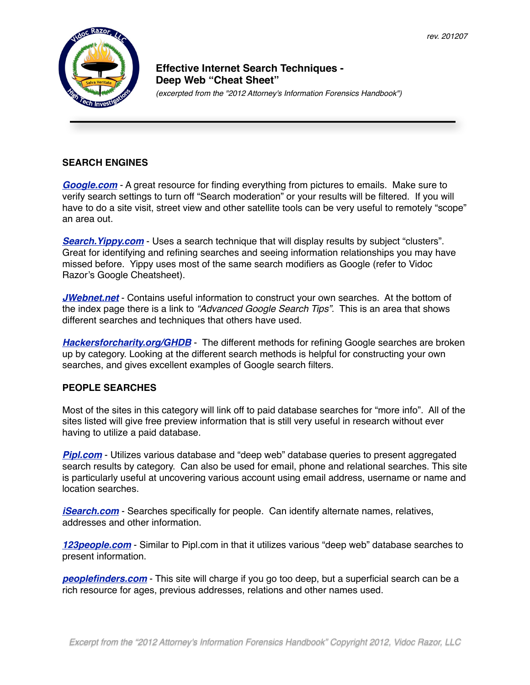

# **! ! ! Effective Internet Search Techniques - ! ! ! Deep Web "Cheat Sheet"**

!!! *(excerpted from the "2012 Attorney's Information Forensics Handbook")*

## **SEARCH ENGINES**

*[Google.com](http://Google.com)* - A great resource for finding everything from pictures to emails. Make sure to verify search settings to turn off "Search moderation" or your results will be filtered. If you will have to do a site visit, street view and other satellite tools can be very useful to remotely "scope" an area out.

*[Search.Yippy.com](http://Search.Yippy.com)* - Uses a search technique that will display results by subject "clusters". Great for identifying and refining searches and seeing information relationships you may have missed before. Yippy uses most of the same search modifiers as Google (refer to Vidoc Razor's Google Cheatsheet).

*[JWebnet.net](http://jwebnet.net/advancedgooglesearch.html)* - Contains useful information to construct your own searches. At the bottom of the index page there is a link to *"Advanced Google Search Tips"*. This is an area that shows different searches and techniques that others have used.

**[Hackersforcharity.org/GHDB](http://www.HackersForCharity.org/GHDB)** - The different methods for refining Google searches are broken up by category. Looking at the different search methods is helpful for constructing your own searches, and gives excellent examples of Google search filters.

### **PEOPLE SEARCHES**

Most of the sites in this category will link off to paid database searches for "more info". All of the sites listed will give free preview information that is still very useful in research without ever having to utilize a paid database.

**[Pipl.com](http://Pipl.com)** - Utilizes various database and "deep web" database queries to present aggregated search results by category. Can also be used for email, phone and relational searches. This site is particularly useful at uncovering various account using email address, username or name and location searches.

*[iSearch.com](http://iSearch.com)* - Searches specifically for people. Can identify alternate names, relatives, addresses and other information.

*[123people.com](http://123people.com)* - Similar to Pipl.com in that it utilizes various "deep web" database searches to present information.

**[peoplefinders.com](http://peoplefinders.com)** - This site will charge if you go too deep, but a superficial search can be a rich resource for ages, previous addresses, relations and other names used.